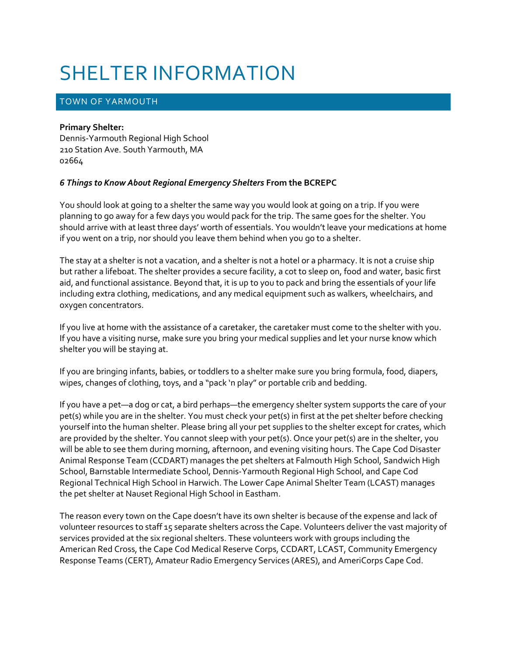# SHELTER INFORMATION

# TOWN OF YARMOUTH

#### **Primary Shelter:**

Dennis-Yarmouth Regional High School 210 Station Ave. South Yarmouth, MA 02664

### *6 Things to Know About Regional Emergency Shelters* **From the BCREPC**

You should look at going to a shelter the same way you would look at going on a trip. If you were planning to go away for a few days you would pack for the trip. The same goes for the shelter. You should arrive with at least three days' worth of essentials. You wouldn't leave your medications at home if you went on a trip, nor should you leave them behind when you go to a shelter.

The stay at a shelter is not a vacation, and a shelter is not a hotel or a pharmacy. It is not a cruise ship but rather a lifeboat. The shelter provides a secure facility, a cot to sleep on, food and water, basic first aid, and functional assistance. Beyond that, it is up to you to pack and bring the essentials of your life including extra clothing, medications, and any medical equipment such as walkers, wheelchairs, and oxygen concentrators.

If you live at home with the assistance of a caretaker, the caretaker must come to the shelter with you. If you have a visiting nurse, make sure you bring your medical supplies and let your nurse know which shelter you will be staying at.

If you are bringing infants, babies, or toddlers to a shelter make sure you bring formula, food, diapers, wipes, changes of clothing, toys, and a "pack 'n play" or portable crib and bedding.

If you have a pet—a dog or cat, a bird perhaps—the emergency shelter system supports the care of your pet(s) while you are in the shelter. You must check your pet(s) in first at the pet shelter before checking yourself into the human shelter. Please bring all your pet supplies to the shelter except for crates, which are provided by the shelter. You cannot sleep with your pet(s). Once your pet(s) are in the shelter, you will be able to see them during morning, afternoon, and evening visiting hours. The Cape Cod Disaster Animal Response Team (CCDART) manages the pet shelters at Falmouth High School, Sandwich High School, Barnstable Intermediate School, Dennis-Yarmouth Regional High School, and Cape Cod Regional Technical High School in Harwich. The Lower Cape Animal Shelter Team (LCAST) manages the pet shelter at Nauset Regional High School in Eastham.

The reason every town on the Cape doesn't have its own shelter is because of the expense and lack of volunteer resources to staff 15 separate shelters across the Cape. Volunteers deliver the vast majority of services provided at the six regional shelters. These volunteers work with groups including the American Red Cross, the Cape Cod Medical Reserve Corps, CCDART, LCAST, Community Emergency Response Teams (CERT), Amateur Radio Emergency Services (ARES), and AmeriCorps Cape Cod.